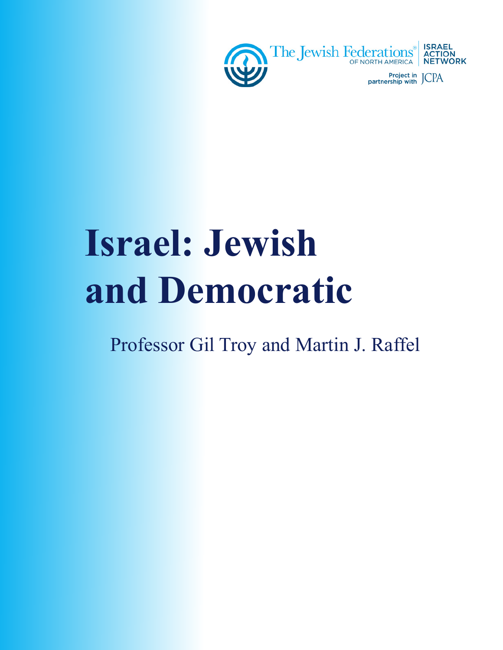

# **Israel: Jewish and Democratic**

Professor Gil Troy and Martin J. Raffel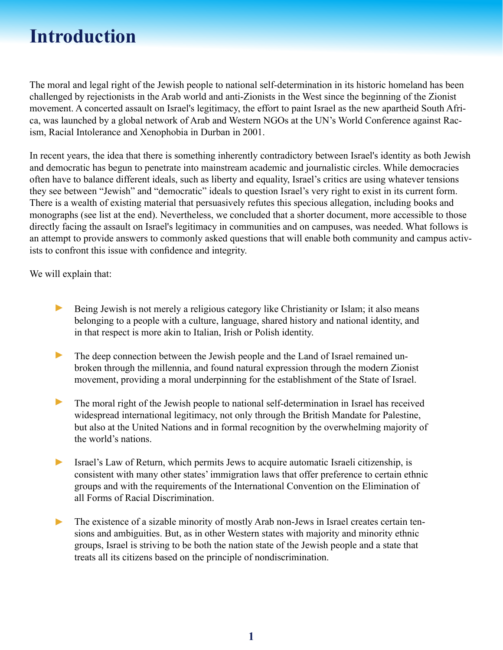#### **Introduction**

The moral and legal right of the Jewish people to national self-determination in its historic homeland has been challenged by rejectionists in the Arab world and anti-Zionists in the West since the beginning of the Zionist movement. A concerted assault on Israel's legitimacy, the effort to paint Israel as the new apartheid South Africa, was launched by a global network of Arab and Western NGOs at the UN's World Conference against Racism, Racial Intolerance and Xenophobia in Durban in 2001.

In recent years, the idea that there is something inherently contradictory between Israel's identity as both Jewish and democratic has begun to penetrate into mainstream academic and journalistic circles. While democracies often have to balance different ideals, such as liberty and equality, Israel's critics are using whatever tensions they see between "Jewish" and "democratic" ideals to question Israel's very right to exist in its current form. There is a wealth of existing material that persuasively refutes this specious allegation, including books and monographs (see list at the end). Nevertheless, we concluded that a shorter document, more accessible to those directly facing the assault on Israel's legitimacy in communities and on campuses, was needed. What follows is an attempt to provide answers to commonly asked questions that will enable both community and campus activists to confront this issue with confidence and integrity.

We will explain that:

- Being Jewish is not merely a religious category like Christianity or Islam; it also means belonging to a people with a culture, language, shared history and national identity, and in that respect is more akin to Italian, Irish or Polish identity. ►
- The deep connection between the Jewish people and the Land of Israel remained unbroken through the millennia, and found natural expression through the modern Zionist movement, providing a moral underpinning for the establishment of the State of Israel. ►
- The moral right of the Jewish people to national self-determination in Israel has received widespread international legitimacy, not only through the British Mandate for Palestine, but also at the United Nations and in formal recognition by the overwhelming majority of the world's nations. ►
- Israel's Law of Return, which permits Jews to acquire automatic Israeli citizenship, is consistent with many other states' immigration laws that offer preference to certain ethnic groups and with the requirements of the International Convention on the Elimination of all Forms of Racial Discrimination. ►
- The existence of a sizable minority of mostly Arab non-Jews in Israel creates certain tensions and ambiguities. But, as in other Western states with majority and minority ethnic groups, Israel is striving to be both the nation state of the Jewish people and a state that treats all its citizens based on the principle of nondiscrimination. ►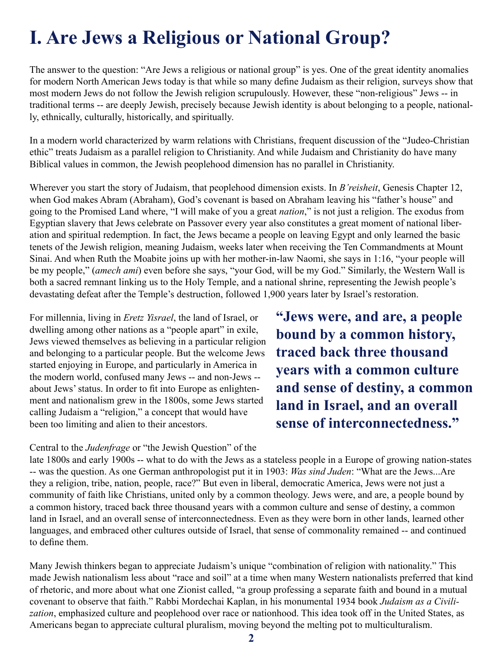# **I. Are Jews a Religious or National Group?**

The answer to the question: "Are Jews a religious or national group" is yes. One of the great identity anomalies for modern North American Jews today is that while so many define Judaism as their religion, surveys show that most modern Jews do not follow the Jewish religion scrupulously. However, these "non-religious" Jews -- in traditional terms -- are deeply Jewish, precisely because Jewish identity is about belonging to a people, nationally, ethnically, culturally, historically, and spiritually.

In a modern world characterized by warm relations with Christians, frequent discussion of the "Judeo-Christian ethic" treats Judaism as a parallel religion to Christianity. And while Judaism and Christianity do have many Biblical values in common, the Jewish peoplehood dimension has no parallel in Christianity.

Wherever you start the story of Judaism, that peoplehood dimension exists. In *B'reisheit*, Genesis Chapter 12, when God makes Abram (Abraham), God's covenant is based on Abraham leaving his "father's house" and going to the Promised Land where, "I will make of you a great *nation*," is not just a religion. The exodus from Egyptian slavery that Jews celebrate on Passover every year also constitutes a great moment of national liberation and spiritual redemption. In fact, the Jews became a people on leaving Egypt and only learned the basic tenets of the Jewish religion, meaning Judaism, weeks later when receiving the Ten Commandments at Mount Sinai. And when Ruth the Moabite joins up with her mother-in-law Naomi, she says in 1:16, "your people will be my people," (*amech ami*) even before she says, "your God, will be my God." Similarly, the Western Wall is both a sacred remnant linking us to the Holy Temple, and a national shrine, representing the Jewish people's devastating defeat after the Temple's destruction, followed 1,900 years later by Israel's restoration.

For millennia, living in *Eretz Yisrael*, the land of Israel, or dwelling among other nations as a "people apart" in exile, Jews viewed themselves as believing in a particular religion and belonging to a particular people. But the welcome Jews started enjoying in Europe, and particularly in America in the modern world, confused many Jews -- and non-Jews - about Jews' status. In order to fit into Europe as enlightenment and nationalism grew in the 1800s, some Jews started calling Judaism a "religion," a concept that would have been too limiting and alien to their ancestors.

Central to the *Judenfrage* or "the Jewish Question" of the

**"Jews were, and are, a people bound by a common history, traced back three thousand years with a common culture and sense of destiny, a common land in Israel, and an overall sense of interconnectedness."**

late 1800s and early 1900s -- what to do with the Jews as a stateless people in a Europe of growing nation-states -- was the question. As one German anthropologist put it in 1903: *Was sind Juden*: "What are the Jews...Are they a religion, tribe, nation, people, race?" But even in liberal, democratic America, Jews were not just a community of faith like Christians, united only by a common theology. Jews were, and are, a people bound by a common history, traced back three thousand years with a common culture and sense of destiny, a common land in Israel, and an overall sense of interconnectedness. Even as they were born in other lands, learned other languages, and embraced other cultures outside of Israel, that sense of commonality remained -- and continued to define them.

Many Jewish thinkers began to appreciate Judaism's unique "combination of religion with nationality." This made Jewish nationalism less about "race and soil" at a time when many Western nationalists preferred that kind of rhetoric, and more about what one Zionist called, "a group professing a separate faith and bound in a mutual covenant to observe that faith." Rabbi Mordechai Kaplan, in his monumental 1934 book *Judaism as a Civilization*, emphasized culture and peoplehood over race or nationhood. This idea took off in the United States, as Americans began to appreciate cultural pluralism, moving beyond the melting pot to multiculturalism.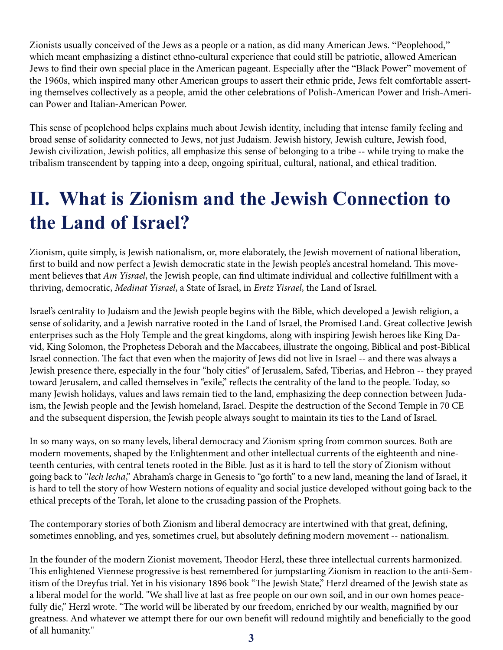Zionists usually conceived of the Jews as a people or a nation, as did many American Jews. "Peoplehood," which meant emphasizing a distinct ethno-cultural experience that could still be patriotic, allowed American Jews to find their own special place in the American pageant. Especially after the "Black Power" movement of the 1960s, which inspired many other American groups to assert their ethnic pride, Jews felt comfortable asserting themselves collectively as a people, amid the other celebrations of Polish-American Power and Irish-American Power and Italian-American Power.

This sense of peoplehood helps explains much about Jewish identity, including that intense family feeling and broad sense of solidarity connected to Jews, not just Judaism. Jewish history, Jewish culture, Jewish food, Jewish civilization, Jewish politics, all emphasize this sense of belonging to a tribe -- while trying to make the tribalism transcendent by tapping into a deep, ongoing spiritual, cultural, national, and ethical tradition.

## **II. What is Zionism and the Jewish Connection to the Land of Israel?**

Zionism, quite simply, is Jewish nationalism, or, more elaborately, the Jewish movement of national liberation, first to build and now perfect a Jewish democratic state in the Jewish people's ancestral homeland. This movement believes that *Am Yisrael*, the Jewish people, can find ultimate individual and collective fulfillment with a thriving, democratic, *Medinat Yisrael*, a State of Israel, in *Eretz Yisrael*, the Land of Israel.

Israel's centrality to Judaism and the Jewish people begins with the Bible, which developed a Jewish religion, a sense of solidarity, and a Jewish narrative rooted in the Land of Israel, the Promised Land. Great collective Jewish enterprises such as the Holy Temple and the great kingdoms, along with inspiring Jewish heroes like King David, King Solomon, the Prophetess Deborah and the Maccabees, illustrate the ongoing, Biblical and post-Biblical Israel connection. The fact that even when the majority of Jews did not live in Israel -- and there was always a Jewish presence there, especially in the four "holy cities" of Jerusalem, Safed, Tiberias, and Hebron -- they prayed toward Jerusalem, and called themselves in "exile," reflects the centrality of the land to the people. Today, so many Jewish holidays, values and laws remain tied to the land, emphasizing the deep connection between Judaism, the Jewish people and the Jewish homeland, Israel. Despite the destruction of the Second Temple in 70 CE and the subsequent dispersion, the Jewish people always sought to maintain its ties to the Land of Israel.

In so many ways, on so many levels, liberal democracy and Zionism spring from common sources. Both are modern movements, shaped by the Enlightenment and other intellectual currents of the eighteenth and nineteenth centuries, with central tenets rooted in the Bible. Just as it is hard to tell the story of Zionism without going back to "*lech lecha*," Abraham's charge in Genesis to "go forth" to a new land, meaning the land of Israel, it is hard to tell the story of how Western notions of equality and social justice developed without going back to the ethical precepts of the Torah, let alone to the crusading passion of the Prophets.

The contemporary stories of both Zionism and liberal democracy are intertwined with that great, defining, sometimes ennobling, and yes, sometimes cruel, but absolutely defining modern movement -- nationalism.

In the founder of the modern Zionist movement, Theodor Herzl, these three intellectual currents harmonized. This enlightened Viennese progressive is best remembered for jumpstarting Zionism in reaction to the anti-Semitism of the Dreyfus trial. Yet in his visionary 1896 book "The Jewish State," Herzl dreamed of the Jewish state as a liberal model for the world. "We shall live at last as free people on our own soil, and in our own homes peacefully die," Herzl wrote. "The world will be liberated by our freedom, enriched by our wealth, magnified by our greatness. And whatever we attempt there for our own benefit will redound mightily and beneficially to the good of all humanity."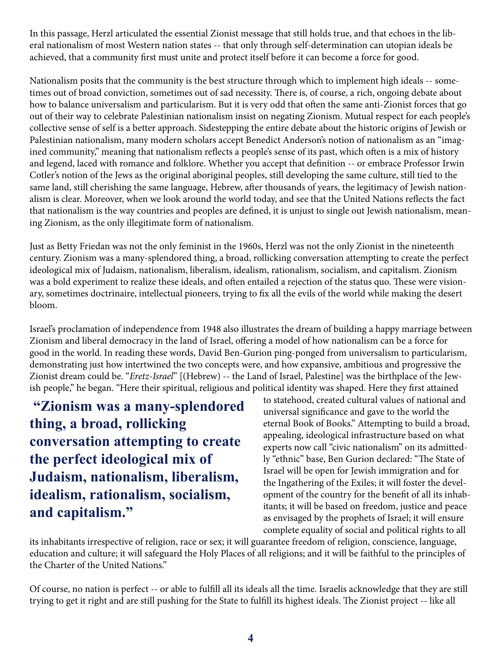In this passage, Herzl articulated the essential Zionist message that still holds true, and that echoes in the liberal nationalism of most Western nation states -- that only through self-determination can utopian ideals be achieved, that a community first must unite and protect itself before it can become a force for good.

Nationalism posits that the community is the best structure through which to implement high ideals -- sometimes out of broad conviction, sometimes out of sad necessity. There is, of course, a rich, ongoing debate about how to balance universalism and particularism. But it is very odd that often the same anti-Zionist forces that go out of their way to celebrate Palestinian nationalism insist on negating Zionism. Mutual respect for each people's collective sense of self is a better approach. Sidestepping the entire debate about the historic origins of Jewish or Palestinian nationalism, many modern scholars accept Benedict Anderson's notion of nationalism as an "imagined community," meaning that nationalism reflects a people's sense of its past, which often is a mix of history and legend, laced with romance and folklore. Whether you accept that definition -- or embrace Professor Irwin Cotler's notion of the Jews as the original aboriginal peoples, still developing the same culture, still tied to the same land, still cherishing the same language, Hebrew, after thousands of years, the legitimacy of Jewish nationalism is clear. Moreover, when we look around the world today, and see that the United Nations reflects the fact that nationalism is the way countries and peoples are defined, it is unjust to single out Jewish nationalism, meaning Zionism, as the only illegitimate form of nationalism.

Just as Betty Friedan was not the only feminist in the 1960s, Herzl was not the only Zionist in the nineteenth century. Zionism was a many-splendored thing, a broad, rollicking conversation attempting to create the perfect ideological mix of Judaism, nationalism, liberalism, idealism, rationalism, socialism, and capitalism. Zionism was a bold experiment to realize these ideals, and often entailed a rejection of the status quo. These were visionary, sometimes doctrinaire, intellectual pioneers, trying to fix all the evils of the world while making the desert bloom.

Israel's proclamation of independence from 1948 also illustrates the dream of building a happy marriage between Zionism and liberal democracy in the land of Israel, offering a model of how nationalism can be a force for good in the world. In reading these words, David Ben-Gurion ping-ponged from universalism to particularism, demonstrating just how intertwined the two concepts were, and how expansive, ambitious and progressive the Zionist dream could be. "*Eretz-Israel*" [(Hebrew) -- the Land of Israel, Palestine] was the birthplace of the Jewish people," he began. "Here their spiritual, religious and political identity was shaped. Here they first attained

 **"Zionism was a many-splendored thing, a broad, rollicking conversation attempting to create the perfect ideological mix of Judaism, nationalism, liberalism, idealism, rationalism, socialism, and capitalism."**

to statehood, created cultural values of national and universal significance and gave to the world the eternal Book of Books." Attempting to build a broad, appealing, ideological infrastructure based on what experts now call "civic nationalism" on its admittedly "ethnic" base, Ben Gurion declared: "The State of Israel will be open for Jewish immigration and for the Ingathering of the Exiles; it will foster the development of the country for the benefit of all its inhabitants; it will be based on freedom, justice and peace as envisaged by the prophets of Israel; it will ensure complete equality of social and political rights to all

its inhabitants irrespective of religion, race or sex; it will guarantee freedom of religion, conscience, language, education and culture; it will safeguard the Holy Places of all religions; and it will be faithful to the principles of the Charter of the United Nations."

Of course, no nation is perfect -- or able to fulfill all its ideals all the time. Israelis acknowledge that they are still trying to get it right and are still pushing for the State to fulfill its highest ideals. The Zionist project -- like all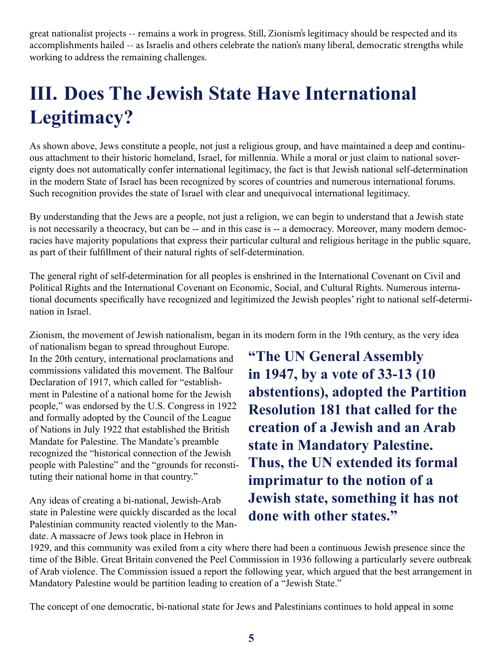great nationalist projects -- remains a work in progress. Still, Zionism's legitimacy should be respected and its accomplishments hailed -- as Israelis and others celebrate the nation's many liberal, democratic strengths while working to address the remaining challenges.

# **III. Does The Jewish State Have International Legitimacy?**

As shown above, Jews constitute a people, not just a religious group, and have maintained a deep and continuous attachment to their historic homeland, Israel, for millennia. While a moral or just claim to national sovereignty does not automatically confer international legitimacy, the fact is that Jewish national self-determination in the modern State of Israel has been recognized by scores of countries and numerous international forums. Such recognition provides the state of Israel with clear and unequivocal international legitimacy.

By understanding that the Jews are a people, not just a religion, we can begin to understand that a Jewish state is not necessarily a theocracy, but can be -- and in this case is -- a democracy. Moreover, many modern democracies have majority populations that express their particular cultural and religious heritage in the public square, as part of their fulfillment of their natural rights of self-determination.

The general right of self-determination for all peoples is enshrined in the International Covenant on Civil and Political Rights and the International Covenant on Economic, Social, and Cultural Rights. Numerous international documents specifically have recognized and legitimized the Jewish peoples' right to national self-determination in Israel.

Zionism, the movement of Jewish nationalism, began in its modern form in the 19th century, as the very idea

of nationalism began to spread throughout Europe. In the 20th century, international proclamations and commissions validated this movement. The Balfour Declaration of 1917, which called for "establishment in Palestine of a national home for the Jewish people," was endorsed by the U.S. Congress in 1922 and formally adopted by the Council of the League of Nations in July 1922 that established the British Mandate for Palestine. The Mandate's preamble recognized the "historical connection of the Jewish people with Palestine" and the "grounds for reconstituting their national home in that country."

Any ideas of creating a bi-national, Jewish-Arab state in Palestine were quickly discarded as the local Palestinian community reacted violently to the Mandate. A massacre of Jews took place in Hebron in

**"The UN General Assembly in 1947, by a vote of 33-13 (10 abstentions), adopted the Partition Resolution 181 that called for the creation of a Jewish and an Arab state in Mandatory Palestine. Thus, the UN extended its formal imprimatur to the notion of a Jewish state, something it has not done with other states."**

1929, and this community was exiled from a city where there had been a continuous Jewish presence since the time of the Bible. Great Britain convened the Peel Commission in 1936 following a particularly severe outbreak of Arab violence. The Commission issued a report the following year, which argued that the best arrangement in Mandatory Palestine would be partition leading to creation of a "Jewish State."

The concept of one democratic, bi-national state for Jews and Palestinians continues to hold appeal in some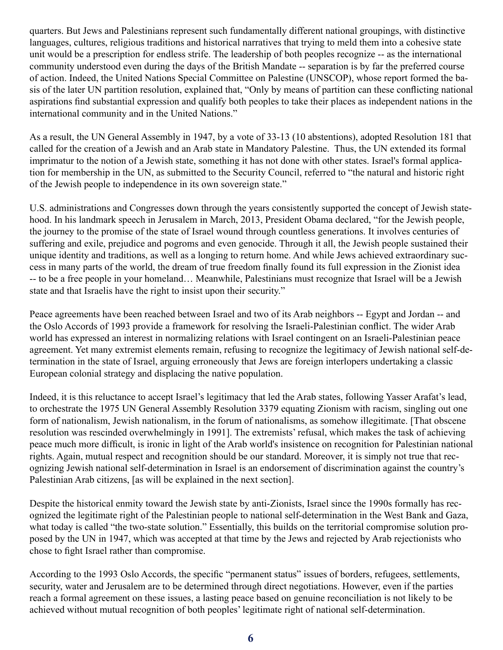quarters. But Jews and Palestinians represent such fundamentally different national groupings, with distinctive languages, cultures, religious traditions and historical narratives that trying to meld them into a cohesive state unit would be a prescription for endless strife. The leadership of both peoples recognize -- as the international community understood even during the days of the British Mandate -- separation is by far the preferred course of action. Indeed, the United Nations Special Committee on Palestine (UNSCOP), whose report formed the basis of the later UN partition resolution, explained that, "Only by means of partition can these conflicting national aspirations find substantial expression and qualify both peoples to take their places as independent nations in the international community and in the United Nations."

As a result, the UN General Assembly in 1947, by a vote of 33-13 (10 abstentions), adopted Resolution 181 that called for the creation of a Jewish and an Arab state in Mandatory Palestine. Thus, the UN extended its formal imprimatur to the notion of a Jewish state, something it has not done with other states. Israel's formal application for membership in the UN, as submitted to the Security Council, referred to "the natural and historic right of the Jewish people to independence in its own sovereign state."

U.S. administrations and Congresses down through the years consistently supported the concept of Jewish statehood. In his landmark speech in Jerusalem in March, 2013, President Obama declared, "for the Jewish people, the journey to the promise of the state of Israel wound through countless generations. It involves centuries of suffering and exile, prejudice and pogroms and even genocide. Through it all, the Jewish people sustained their unique identity and traditions, as well as a longing to return home. And while Jews achieved extraordinary success in many parts of the world, the dream of true freedom finally found its full expression in the Zionist idea -- to be a free people in your homeland… Meanwhile, Palestinians must recognize that Israel will be a Jewish state and that Israelis have the right to insist upon their security."

Peace agreements have been reached between Israel and two of its Arab neighbors -- Egypt and Jordan -- and the Oslo Accords of 1993 provide a framework for resolving the Israeli-Palestinian conflict. The wider Arab world has expressed an interest in normalizing relations with Israel contingent on an Israeli-Palestinian peace agreement. Yet many extremist elements remain, refusing to recognize the legitimacy of Jewish national self-determination in the state of Israel, arguing erroneously that Jews are foreign interlopers undertaking a classic European colonial strategy and displacing the native population.

Indeed, it is this reluctance to accept Israel's legitimacy that led the Arab states, following Yasser Arafat's lead, to orchestrate the 1975 UN General Assembly Resolution 3379 equating Zionism with racism, singling out one form of nationalism, Jewish nationalism, in the forum of nationalisms, as somehow illegitimate. [That obscene resolution was rescinded overwhelmingly in 1991]. The extremists' refusal, which makes the task of achieving peace much more difficult, is ironic in light of the Arab world's insistence on recognition for Palestinian national rights. Again, mutual respect and recognition should be our standard. Moreover, it is simply not true that recognizing Jewish national self-determination in Israel is an endorsement of discrimination against the country's Palestinian Arab citizens, [as will be explained in the next section].

Despite the historical enmity toward the Jewish state by anti-Zionists, Israel since the 1990s formally has recognized the legitimate right of the Palestinian people to national self-determination in the West Bank and Gaza, what today is called "the two-state solution." Essentially, this builds on the territorial compromise solution proposed by the UN in 1947, which was accepted at that time by the Jews and rejected by Arab rejectionists who chose to fight Israel rather than compromise.

According to the 1993 Oslo Accords, the specific "permanent status" issues of borders, refugees, settlements, security, water and Jerusalem are to be determined through direct negotiations. However, even if the parties reach a formal agreement on these issues, a lasting peace based on genuine reconciliation is not likely to be achieved without mutual recognition of both peoples' legitimate right of national self-determination.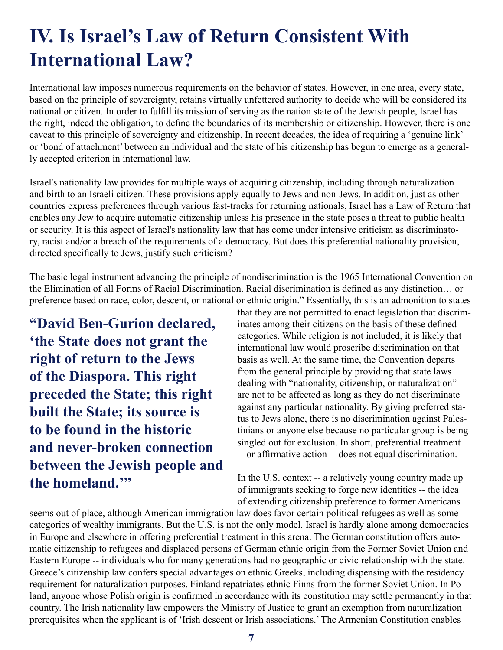#### **IV. Is Israel's Law of Return Consistent With International Law?**

International law imposes numerous requirements on the behavior of states. However, in one area, every state, based on the principle of sovereignty, retains virtually unfettered authority to decide who will be considered its national or citizen. In order to fulfill its mission of serving as the nation state of the Jewish people, Israel has the right, indeed the obligation, to define the boundaries of its membership or citizenship. However, there is one caveat to this principle of sovereignty and citizenship. In recent decades, the idea of requiring a 'genuine link' or 'bond of attachment' between an individual and the state of his citizenship has begun to emerge as a generally accepted criterion in international law.

Israel's nationality law provides for multiple ways of acquiring citizenship, including through naturalization and birth to an Israeli citizen. These provisions apply equally to Jews and non-Jews. In addition, just as other countries express preferences through various fast-tracks for returning nationals, Israel has a Law of Return that enables any Jew to acquire automatic citizenship unless his presence in the state poses a threat to public health or security. It is this aspect of Israel's nationality law that has come under intensive criticism as discriminatory, racist and/or a breach of the requirements of a democracy. But does this preferential nationality provision, directed specifically to Jews, justify such criticism?

The basic legal instrument advancing the principle of nondiscrimination is the 1965 International Convention on the Elimination of all Forms of Racial Discrimination. Racial discrimination is defined as any distinction… or preference based on race, color, descent, or national or ethnic origin." Essentially, this is an admonition to states

**"David Ben-Gurion declared, 'the State does not grant the right of return to the Jews of the Diaspora. This right preceded the State; this right built the State; its source is to be found in the historic and never-broken connection between the Jewish people and the homeland.'"**

that they are not permitted to enact legislation that discriminates among their citizens on the basis of these defined categories. While religion is not included, it is likely that international law would proscribe discrimination on that basis as well. At the same time, the Convention departs from the general principle by providing that state laws dealing with "nationality, citizenship, or naturalization" are not to be affected as long as they do not discriminate against any particular nationality. By giving preferred status to Jews alone, there is no discrimination against Palestinians or anyone else because no particular group is being singled out for exclusion. In short, preferential treatment -- or affirmative action -- does not equal discrimination.

In the U.S. context -- a relatively young country made up of immigrants seeking to forge new identities -- the idea of extending citizenship preference to former Americans

seems out of place, although American immigration law does favor certain political refugees as well as some categories of wealthy immigrants. But the U.S. is not the only model. Israel is hardly alone among democracies in Europe and elsewhere in offering preferential treatment in this arena. The German constitution offers automatic citizenship to refugees and displaced persons of German ethnic origin from the Former Soviet Union and Eastern Europe -- individuals who for many generations had no geographic or civic relationship with the state. Greece's citizenship law confers special advantages on ethnic Greeks, including dispensing with the residency requirement for naturalization purposes. Finland repatriates ethnic Finns from the former Soviet Union. In Poland, anyone whose Polish origin is confirmed in accordance with its constitution may settle permanently in that country. The Irish nationality law empowers the Ministry of Justice to grant an exemption from naturalization prerequisites when the applicant is of 'Irish descent or Irish associations.' The Armenian Constitution enables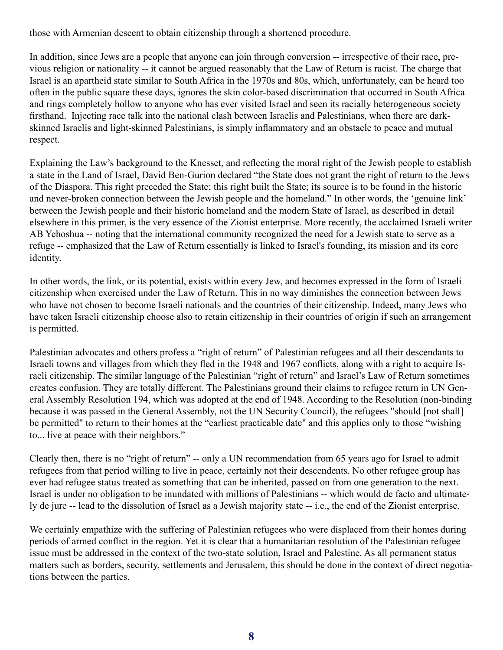those with Armenian descent to obtain citizenship through a shortened procedure.

In addition, since Jews are a people that anyone can join through conversion -- irrespective of their race, previous religion or nationality -- it cannot be argued reasonably that the Law of Return is racist. The charge that Israel is an apartheid state similar to South Africa in the 1970s and 80s, which, unfortunately, can be heard too often in the public square these days, ignores the skin color-based discrimination that occurred in South Africa and rings completely hollow to anyone who has ever visited Israel and seen its racially heterogeneous society firsthand. Injecting race talk into the national clash between Israelis and Palestinians, when there are darkskinned Israelis and light-skinned Palestinians, is simply inflammatory and an obstacle to peace and mutual respect.

Explaining the Law's background to the Knesset, and reflecting the moral right of the Jewish people to establish a state in the Land of Israel, David Ben-Gurion declared "the State does not grant the right of return to the Jews of the Diaspora. This right preceded the State; this right built the State; its source is to be found in the historic and never-broken connection between the Jewish people and the homeland." In other words, the 'genuine link' between the Jewish people and their historic homeland and the modern State of Israel, as described in detail elsewhere in this primer, is the very essence of the Zionist enterprise. More recently, the acclaimed Israeli writer AB Yehoshua -- noting that the international community recognized the need for a Jewish state to serve as a refuge -- emphasized that the Law of Return essentially is linked to Israel's founding, its mission and its core identity.

In other words, the link, or its potential, exists within every Jew, and becomes expressed in the form of Israeli citizenship when exercised under the Law of Return. This in no way diminishes the connection between Jews who have not chosen to become Israeli nationals and the countries of their citizenship. Indeed, many Jews who have taken Israeli citizenship choose also to retain citizenship in their countries of origin if such an arrangement is permitted.

Palestinian advocates and others profess a "right of return" of Palestinian refugees and all their descendants to Israeli towns and villages from which they fled in the 1948 and 1967 conflicts, along with a right to acquire Israeli citizenship. The similar language of the Palestinian "right of return" and Israel's Law of Return sometimes creates confusion. They are totally different. The Palestinians ground their claims to refugee return in UN General Assembly Resolution 194, which was adopted at the end of 1948. According to the Resolution (non-binding because it was passed in the General Assembly, not the UN Security Council), the refugees "should [not shall] be permitted" to return to their homes at the "earliest practicable date" and this applies only to those "wishing to... live at peace with their neighbors."

Clearly then, there is no "right of return" -- only a UN recommendation from 65 years ago for Israel to admit refugees from that period willing to live in peace, certainly not their descendents. No other refugee group has ever had refugee status treated as something that can be inherited, passed on from one generation to the next. Israel is under no obligation to be inundated with millions of Palestinians -- which would de facto and ultimately de jure -- lead to the dissolution of Israel as a Jewish majority state -- i.e., the end of the Zionist enterprise.

We certainly empathize with the suffering of Palestinian refugees who were displaced from their homes during periods of armed conflict in the region. Yet it is clear that a humanitarian resolution of the Palestinian refugee issue must be addressed in the context of the two-state solution, Israel and Palestine. As all permanent status matters such as borders, security, settlements and Jerusalem, this should be done in the context of direct negotiations between the parties.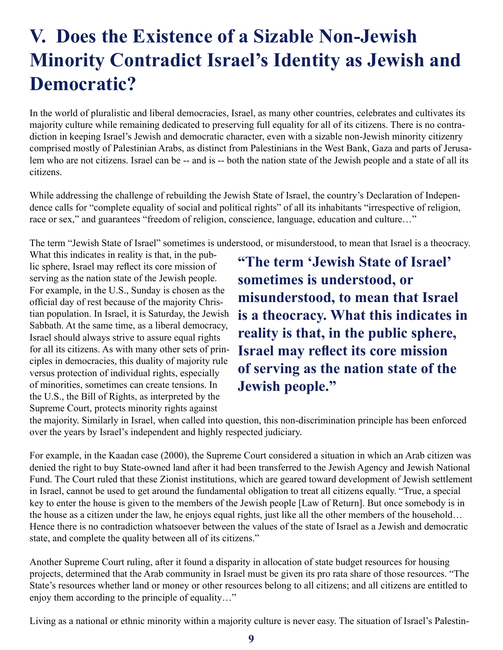## **V. Does the Existence of a Sizable Non-Jewish Minority Contradict Israel's Identity as Jewish and Democratic?**

In the world of pluralistic and liberal democracies, Israel, as many other countries, celebrates and cultivates its majority culture while remaining dedicated to preserving full equality for all of its citizens. There is no contradiction in keeping Israel's Jewish and democratic character, even with a sizable non-Jewish minority citizenry comprised mostly of Palestinian Arabs, as distinct from Palestinians in the West Bank, Gaza and parts of Jerusalem who are not citizens. Israel can be -- and is -- both the nation state of the Jewish people and a state of all its citizens.

While addressing the challenge of rebuilding the Jewish State of Israel, the country's Declaration of Independence calls for "complete equality of social and political rights" of all its inhabitants "irrespective of religion, race or sex," and guarantees "freedom of religion, conscience, language, education and culture…"

The term "Jewish State of Israel" sometimes is understood, or misunderstood, to mean that Israel is a theocracy.

What this indicates in reality is that, in the public sphere, Israel may reflect its core mission of serving as the nation state of the Jewish people. For example, in the U.S., Sunday is chosen as the official day of rest because of the majority Christian population. In Israel, it is Saturday, the Jewish Sabbath. At the same time, as a liberal democracy, Israel should always strive to assure equal rights for all its citizens. As with many other sets of principles in democracies, this duality of majority rule versus protection of individual rights, especially of minorities, sometimes can create tensions. In the U.S., the Bill of Rights, as interpreted by the Supreme Court, protects minority rights against

**"The term 'Jewish State of Israel' sometimes is understood, or misunderstood, to mean that Israel is a theocracy. What this indicates in reality is that, in the public sphere, Israel may reflect its core mission of serving as the nation state of the Jewish people."**

the majority. Similarly in Israel, when called into question, this non-discrimination principle has been enforced over the years by Israel's independent and highly respected judiciary.

For example, in the Kaadan case (2000), the Supreme Court considered a situation in which an Arab citizen was denied the right to buy State-owned land after it had been transferred to the Jewish Agency and Jewish National Fund. The Court ruled that these Zionist institutions, which are geared toward development of Jewish settlement in Israel, cannot be used to get around the fundamental obligation to treat all citizens equally. "True, a special key to enter the house is given to the members of the Jewish people [Law of Return]. But once somebody is in the house as a citizen under the law, he enjoys equal rights, just like all the other members of the household… Hence there is no contradiction whatsoever between the values of the state of Israel as a Jewish and democratic state, and complete the quality between all of its citizens."

Another Supreme Court ruling, after it found a disparity in allocation of state budget resources for housing projects, determined that the Arab community in Israel must be given its pro rata share of those resources. "The State's resources whether land or money or other resources belong to all citizens; and all citizens are entitled to enjoy them according to the principle of equality…"

Living as a national or ethnic minority within a majority culture is never easy. The situation of Israel's Palestin-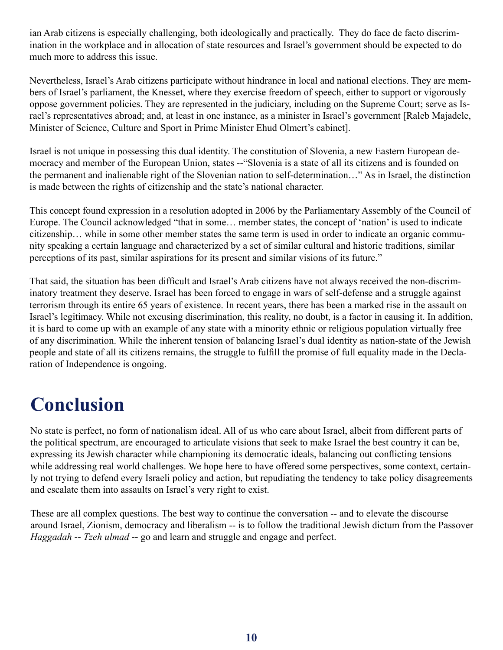ian Arab citizens is especially challenging, both ideologically and practically. They do face de facto discrimination in the workplace and in allocation of state resources and Israel's government should be expected to do much more to address this issue.

Nevertheless, Israel's Arab citizens participate without hindrance in local and national elections. They are members of Israel's parliament, the Knesset, where they exercise freedom of speech, either to support or vigorously oppose government policies. They are represented in the judiciary, including on the Supreme Court; serve as Israel's representatives abroad; and, at least in one instance, as a minister in Israel's government [Raleb Majadele, Minister of Science, Culture and Sport in Prime Minister Ehud Olmert's cabinet].

Israel is not unique in possessing this dual identity. The constitution of Slovenia, a new Eastern European democracy and member of the European Union, states --"Slovenia is a state of all its citizens and is founded on the permanent and inalienable right of the Slovenian nation to self-determination…" As in Israel, the distinction is made between the rights of citizenship and the state's national character.

This concept found expression in a resolution adopted in 2006 by the Parliamentary Assembly of the Council of Europe. The Council acknowledged "that in some… member states, the concept of 'nation' is used to indicate citizenship… while in some other member states the same term is used in order to indicate an organic community speaking a certain language and characterized by a set of similar cultural and historic traditions, similar perceptions of its past, similar aspirations for its present and similar visions of its future."

That said, the situation has been difficult and Israel's Arab citizens have not always received the non-discriminatory treatment they deserve. Israel has been forced to engage in wars of self-defense and a struggle against terrorism through its entire 65 years of existence. In recent years, there has been a marked rise in the assault on Israel's legitimacy. While not excusing discrimination, this reality, no doubt, is a factor in causing it. In addition, it is hard to come up with an example of any state with a minority ethnic or religious population virtually free of any discrimination. While the inherent tension of balancing Israel's dual identity as nation-state of the Jewish people and state of all its citizens remains, the struggle to fulfill the promise of full equality made in the Declaration of Independence is ongoing.

## **Conclusion**

No state is perfect, no form of nationalism ideal. All of us who care about Israel, albeit from different parts of the political spectrum, are encouraged to articulate visions that seek to make Israel the best country it can be, expressing its Jewish character while championing its democratic ideals, balancing out conflicting tensions while addressing real world challenges. We hope here to have offered some perspectives, some context, certainly not trying to defend every Israeli policy and action, but repudiating the tendency to take policy disagreements and escalate them into assaults on Israel's very right to exist.

These are all complex questions. The best way to continue the conversation -- and to elevate the discourse around Israel, Zionism, democracy and liberalism -- is to follow the traditional Jewish dictum from the Passover *Haggadah* -- *Tzeh ulmad* -- go and learn and struggle and engage and perfect.